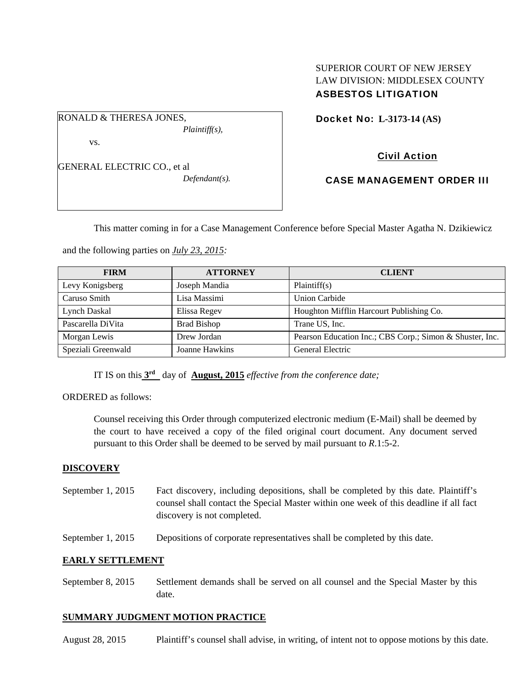### SUPERIOR COURT OF NEW JERSEY LAW DIVISION: MIDDLESEX COUNTY ASBESTOS LITIGATION

RONALD & THERESA JONES,

vs.

GENERAL ELECTRIC CO., et al *Defendant(s).* 

*Plaintiff(s),* 

Docket No: **L-3173-14 (AS)** 

# Civil Action

CASE MANAGEMENT ORDER III

This matter coming in for a Case Management Conference before Special Master Agatha N. Dzikiewicz

and the following parties on *July 23, 2015:*

| <b>FIRM</b>        | <b>ATTORNEY</b>    | <b>CLIENT</b>                                            |
|--------------------|--------------------|----------------------------------------------------------|
| Levy Konigsberg    | Joseph Mandia      | Plaintiff(s)                                             |
| Caruso Smith       | Lisa Massimi       | <b>Union Carbide</b>                                     |
| Lynch Daskal       | Elissa Regev       | Houghton Mifflin Harcourt Publishing Co.                 |
| Pascarella DiVita  | <b>Brad Bishop</b> | Trane US, Inc.                                           |
| Morgan Lewis       | Drew Jordan        | Pearson Education Inc.; CBS Corp.; Simon & Shuster, Inc. |
| Speziali Greenwald | Joanne Hawkins     | General Electric                                         |

IT IS on this **3rd** day of **August, 2015** *effective from the conference date;*

ORDERED as follows:

Counsel receiving this Order through computerized electronic medium (E-Mail) shall be deemed by the court to have received a copy of the filed original court document. Any document served pursuant to this Order shall be deemed to be served by mail pursuant to *R*.1:5-2.

## **DISCOVERY**

- September 1, 2015 Fact discovery, including depositions, shall be completed by this date. Plaintiff's counsel shall contact the Special Master within one week of this deadline if all fact discovery is not completed.
- September 1, 2015 Depositions of corporate representatives shall be completed by this date.

## **EARLY SETTLEMENT**

September 8, 2015 Settlement demands shall be served on all counsel and the Special Master by this date.

### **SUMMARY JUDGMENT MOTION PRACTICE**

August 28, 2015 Plaintiff's counsel shall advise, in writing, of intent not to oppose motions by this date.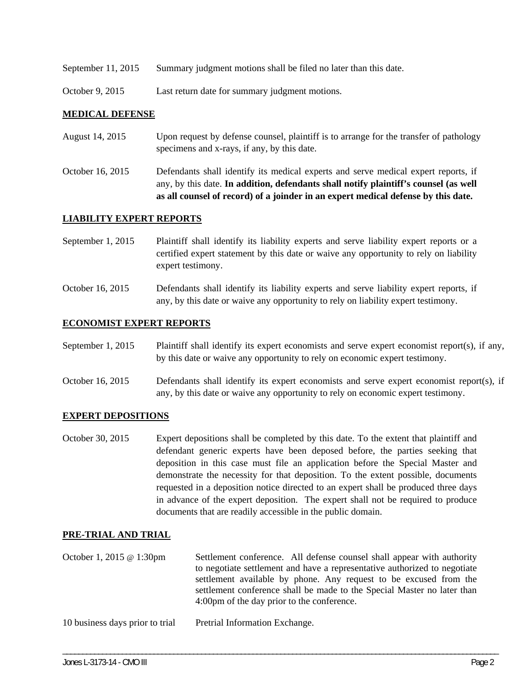- September 11, 2015 Summary judgment motions shall be filed no later than this date.
- October 9, 2015 Last return date for summary judgment motions.

#### **MEDICAL DEFENSE**

- August 14, 2015 Upon request by defense counsel, plaintiff is to arrange for the transfer of pathology specimens and x-rays, if any, by this date.
- October 16, 2015 Defendants shall identify its medical experts and serve medical expert reports, if any, by this date. **In addition, defendants shall notify plaintiff's counsel (as well as all counsel of record) of a joinder in an expert medical defense by this date.**

#### **LIABILITY EXPERT REPORTS**

- September 1, 2015 Plaintiff shall identify its liability experts and serve liability expert reports or a certified expert statement by this date or waive any opportunity to rely on liability expert testimony.
- October 16, 2015 Defendants shall identify its liability experts and serve liability expert reports, if any, by this date or waive any opportunity to rely on liability expert testimony.

#### **ECONOMIST EXPERT REPORTS**

- September 1, 2015 Plaintiff shall identify its expert economists and serve expert economist report(s), if any, by this date or waive any opportunity to rely on economic expert testimony.
- October 16, 2015 Defendants shall identify its expert economists and serve expert economist report(s), if any, by this date or waive any opportunity to rely on economic expert testimony.

#### **EXPERT DEPOSITIONS**

October 30, 2015 Expert depositions shall be completed by this date. To the extent that plaintiff and defendant generic experts have been deposed before, the parties seeking that deposition in this case must file an application before the Special Master and demonstrate the necessity for that deposition. To the extent possible, documents requested in a deposition notice directed to an expert shall be produced three days in advance of the expert deposition. The expert shall not be required to produce documents that are readily accessible in the public domain.

#### **PRE-TRIAL AND TRIAL**

October 1, 2015 @ 1:30pm Settlement conference. All defense counsel shall appear with authority to negotiate settlement and have a representative authorized to negotiate settlement available by phone. Any request to be excused from the settlement conference shall be made to the Special Master no later than 4:00pm of the day prior to the conference.

\_\_\_\_\_\_\_\_\_\_\_\_\_\_\_\_\_\_\_\_\_\_\_\_\_\_\_\_\_\_\_\_\_\_\_\_\_\_\_\_\_\_\_\_\_\_\_\_\_\_\_\_\_\_\_\_\_\_\_\_\_\_\_\_\_\_\_\_\_\_\_\_\_\_\_\_\_\_\_\_\_\_\_\_\_\_\_\_\_\_\_\_\_\_\_\_\_\_\_\_\_\_\_\_\_\_\_\_\_\_

10 business days prior to trial Pretrial Information Exchange.